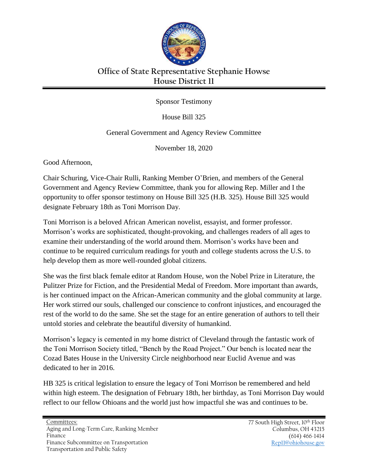

## **Office of State Representative Stephanie Howse House District 11**

Sponsor Testimony

House Bill 325

General Government and Agency Review Committee

November 18, 2020

Good Afternoon,

Chair Schuring, Vice-Chair Rulli, Ranking Member O'Brien, and members of the General Government and Agency Review Committee, thank you for allowing Rep. Miller and I the opportunity to offer sponsor testimony on House Bill 325 (H.B. 325). House Bill 325 would designate February 18th as Toni Morrison Day.

Toni Morrison is a beloved African American novelist, essayist, and former professor. Morrison's works are sophisticated, thought-provoking, and challenges readers of all ages to examine their understanding of the world around them. Morrison's works have been and continue to be required curriculum readings for youth and college students across the U.S. to help develop them as more well-rounded global citizens.

She was the first black female editor at Random House, won the Nobel Prize in Literature, the Pulitzer Prize for Fiction, and the Presidential Medal of Freedom. More important than awards, is her continued impact on the African-American community and the global community at large. Her work stirred our souls, challenged our conscience to confront injustices, and encouraged the rest of the world to do the same. She set the stage for an entire generation of authors to tell their untold stories and celebrate the beautiful diversity of humankind.

Morrison's legacy is cemented in my home district of Cleveland through the fantastic work of the Toni Morrison Society titled, "Bench by the Road Project." Our bench is located near the Cozad Bates House in the University Circle neighborhood near Euclid Avenue and was dedicated to her in 2016.

HB 325 is critical legislation to ensure the legacy of Toni Morrison be remembered and held within high esteem. The designation of February 18th, her birthday, as Toni Morrison Day would reflect to our fellow Ohioans and the world just how impactful she was and continues to be.